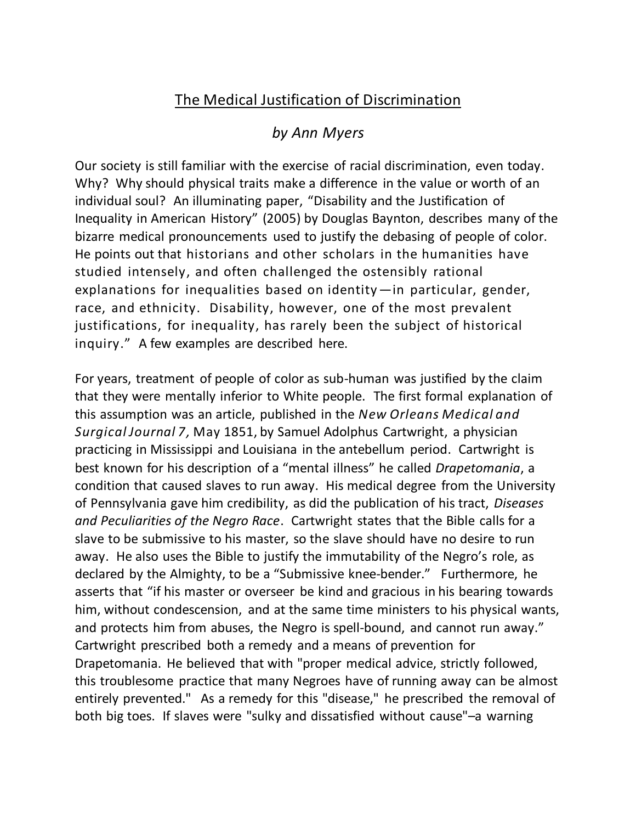## The Medical Justification of Discrimination

## *by Ann Myers*

Our society is still familiar with the exercise of racial discrimination, even today. Why? Why should physical traits make a difference in the value or worth of an individual soul? An illuminating paper, "Disability and the Justification of Inequality in American History" (2005) by Douglas Baynton, describes many of the bizarre medical pronouncements used to justify the debasing of people of color. He points out that historians and other scholars in the humanities have studied intensely, and often challenged the ostensibly rational explanations for inequalities based on identity—in particular, gender, race, and ethnicity. Disability, however, one of the most prevalent justifications, for inequality, has rarely been the subject of historical inquiry." A few examples are described here.

For years, treatment of people of color as sub-human was justified by the claim that they were mentally inferior to White people. The first formal explanation of this assumption was an article, published in the *New Orleans Medical and Surgical Journal 7,* May 1851, by Samuel Adolphus Cartwright, a physician practicing in Mississippi and Louisiana in the antebellum period. Cartwright is best known for his description of a "mental illness" he called *Drapetomania*, a condition that caused slaves to run away. His medical degree from the University of Pennsylvania gave him credibility, as did the publication of his tract, *Diseases and Peculiarities of the Negro Race*. Cartwright states that the Bible calls for a slave to be submissive to his master, so the slave should have no desire to run away. He also uses the Bible to justify the immutability of the Negro's role, as declared by the Almighty, to be a "Submissive knee-bender." Furthermore, he asserts that "if his master or overseer be kind and gracious in his bearing towards him, without condescension, and at the same time ministers to his physical wants, and protects him from abuses, the Negro is spell-bound, and cannot run away." Cartwright prescribed both a remedy and a means of prevention for Drapetomania. He believed that with "proper medical advice, strictly followed, this troublesome practice that many Negroes have of running away can be almost entirely prevented." As a remedy for this "disease," he prescribed the removal of both big toes. If slaves were "sulky and dissatisfied without cause"–a warning